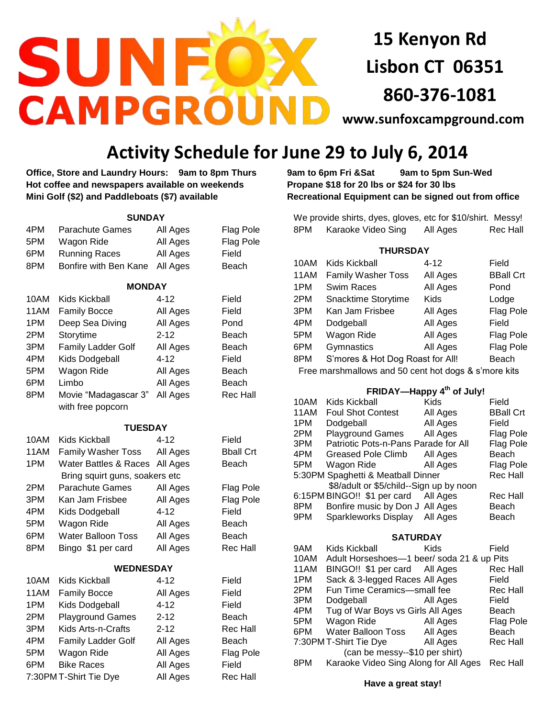

**15 Kenyon Rd Lisbon CT 06351 860-376-1081**

**[www.sunfoxcampground.com](http://www.sunfoxcampground.com/)** 

## **Activity Schedule for June 29 to July 6, 2014**

**Office, Store and Laundry Hours: 9am to 8pm Thurs 9am to 6pm Fri &Sat 9am to 5pm Sun-Wed Hot coffee and newspapers available on weekends Propane \$18 for 20 lbs or \$24 for 30 lbs Mini Golf (\$2) and Paddleboats (\$7) available Recreational Equipment can be signed out from office**

| <b>SUNDAY</b>    |                                  |          |                  |  |  |  |  |  |  |
|------------------|----------------------------------|----------|------------------|--|--|--|--|--|--|
| 4PM              | Parachute Games                  | All Ages | <b>Flag Pole</b> |  |  |  |  |  |  |
| 5PM              | Wagon Ride                       | All Ages | <b>Flag Pole</b> |  |  |  |  |  |  |
| 6PM              | <b>Running Races</b>             | All Ages | Field            |  |  |  |  |  |  |
| 8PM              | Bonfire with Ben Kane            | All Ages | Beach            |  |  |  |  |  |  |
| <b>MONDAY</b>    |                                  |          |                  |  |  |  |  |  |  |
| 10AM             | Kids Kickball                    | 4-12     | Field            |  |  |  |  |  |  |
| 11AM             | <b>Family Bocce</b>              | All Ages | Field            |  |  |  |  |  |  |
| 1PM              | Deep Sea Diving                  | All Ages | Pond             |  |  |  |  |  |  |
| 2PM              | Storytime                        | $2 - 12$ | Beach            |  |  |  |  |  |  |
| 3PM              | <b>Family Ladder Golf</b>        | All Ages | Beach            |  |  |  |  |  |  |
| 4PM              | Kids Dodgeball                   | $4 - 12$ | Field            |  |  |  |  |  |  |
| 5PM              | Wagon Ride                       | All Ages | Beach            |  |  |  |  |  |  |
| 6PM              | Limbo                            | All Ages | Beach            |  |  |  |  |  |  |
| 8PM              | Movie "Madagascar 3"             | All Ages | <b>Rec Hall</b>  |  |  |  |  |  |  |
|                  | with free popcorn                |          |                  |  |  |  |  |  |  |
| <b>TUESDAY</b>   |                                  |          |                  |  |  |  |  |  |  |
| 10AM             | <b>Kids Kickball</b>             | 4-12     | Field            |  |  |  |  |  |  |
| 11AM             | Family Washer Toss               | All Ages | <b>Bball Crt</b> |  |  |  |  |  |  |
| 1PM              | <b>Water Battles &amp; Races</b> | All Ages | Beach            |  |  |  |  |  |  |
|                  | Bring squirt guns, soakers etc   |          |                  |  |  |  |  |  |  |
| 2PM              | Parachute Games                  | All Ages | <b>Flag Pole</b> |  |  |  |  |  |  |
| 3PM              | Kan Jam Frisbee                  | All Ages | <b>Flag Pole</b> |  |  |  |  |  |  |
| 4PM              | Kids Dodgeball                   | 4-12     | Field            |  |  |  |  |  |  |
| 5PM              | Wagon Ride                       | All Ages | Beach            |  |  |  |  |  |  |
| 6PM              | Water Balloon Toss               | All Ages | Beach            |  |  |  |  |  |  |
| 8PM              | Bingo \$1 per card               | All Ages | <b>Rec Hall</b>  |  |  |  |  |  |  |
| <b>WEDNESDAY</b> |                                  |          |                  |  |  |  |  |  |  |
| 10AM             | Kids Kickball                    | 4-12     | Field            |  |  |  |  |  |  |
| 11AM             | <b>Family Bocce</b>              | All Ages | Field            |  |  |  |  |  |  |
| 1PM              | Kids Dodgeball                   | $4 - 12$ | Field            |  |  |  |  |  |  |
| 2PM              | <b>Playground Games</b>          | $2 - 12$ | Beach            |  |  |  |  |  |  |
| 3PM              | Kids Arts-n-Crafts               | $2 - 12$ | <b>Rec Hall</b>  |  |  |  |  |  |  |
| 4PM              | Family Ladder Golf               | All Ages | Beach            |  |  |  |  |  |  |
| 5PM              | Wagon Ride                       | All Ages | <b>Flag Pole</b> |  |  |  |  |  |  |
| 6PM              | <b>Bike Races</b>                | All Ages | Field            |  |  |  |  |  |  |
|                  | 7:30PM T-Shirt Tie Dye           | All Ages | <b>Rec Hall</b>  |  |  |  |  |  |  |

We provide shirts, dyes, gloves, etc for \$10/shirt. Messy! 8PM Karaoke Video Sing All Ages Rec Hall

## **THURSDAY**

| 10AM | Kids Kickball                                        | 4-12                                  | Field            |
|------|------------------------------------------------------|---------------------------------------|------------------|
| 11AM | <b>Family Washer Toss</b>                            | All Ages                              | <b>BBall Crt</b> |
| 1PM  | <b>Swim Races</b>                                    | All Ages                              | Pond             |
| 2PM  | Snacktime Storytime                                  | Kids                                  | Lodge            |
| 3PM  | Kan Jam Frisbee                                      | All Ages                              | <b>Flag Pole</b> |
| 4PM  | Dodgeball                                            | All Ages                              | Field            |
| 5PM  | Wagon Ride                                           | All Ages                              | Flag Pole        |
| 6PM  | Gymnastics                                           | All Ages                              | Flag Pole        |
| 8PM  | S'mores & Hot Dog Roast for All!                     |                                       | Beach            |
|      | Free marshmallows and 50 cent hot dogs & s'more kits |                                       |                  |
|      |                                                      |                                       |                  |
|      |                                                      | FRIDAY-Happy 4 <sup>th</sup> of July! |                  |
| 10AM | Kids Kickball                                        | Kids                                  | Field            |
| 11AM | <b>Foul Shot Contest</b>                             | All Ages                              | <b>BBall Crt</b> |
| 1PM  | Dodgeball                                            | All Ages                              | Field            |
| 2PM  | <b>Playground Games</b>                              | All Ages                              | Flag Pole        |
| 3PM  | Patriotic Pots-n-Pans Parade for All                 |                                       | Flag Pole        |
| 4PM  | <b>Greased Pole Climb</b>                            | All Ages                              | Beach            |
| 5PM  | Wagon Ride                                           | All Ages                              | Flag Pole        |
|      | 5:30PM Spaghetti & Meatball Dinner                   |                                       | <b>Rec Hall</b>  |
|      | \$8/adult or \$5/child--Sign up by noon              |                                       |                  |
|      | 6:15PM BINGO!! \$1 per card                          | All Ages                              | Rec Hall         |
| 8PM  | Bonfire music by Don J                               | All Ages                              | Beach            |
| 9PM  | <b>Sparkleworks Display</b>                          | All Ages                              | Beach            |
|      | <b>SATURDAY</b>                                      |                                       |                  |
| 9AM  | <b>Kids Kickball</b>                                 | Kids                                  | Field            |
| 10AM | Adult Horseshoes-1 beer/ soda 21 & up Pits           |                                       |                  |
| 11AM | BINGO!! \$1 per card All Ages                        |                                       | <b>Rec Hall</b>  |
| 1PM  | Sack & 3-legged Races All Ages                       |                                       | Field            |
| 2PM  | Fun Time Ceramics-small fee                          |                                       | Rec Hall         |
| 3PM  | Dodgeball                                            | All Ages                              | Field            |
| 4PM  | Tug of War Boys vs Girls All Ages                    |                                       | Beach            |
| 5PM  | Wagon Ride                                           | All Ages                              | <b>Flag Pole</b> |
| 6PM  | <b>Water Balloon Toss</b>                            | All Ages                              | Beach            |
|      | 7:30PM T-Shirt Tie Dye                               | All Ages                              | <b>Rec Hall</b>  |

 **Have a great stay!** 

 (can be messy--\$10 per shirt) 8PM Karaoke Video Sing Along for All Ages Rec Hall